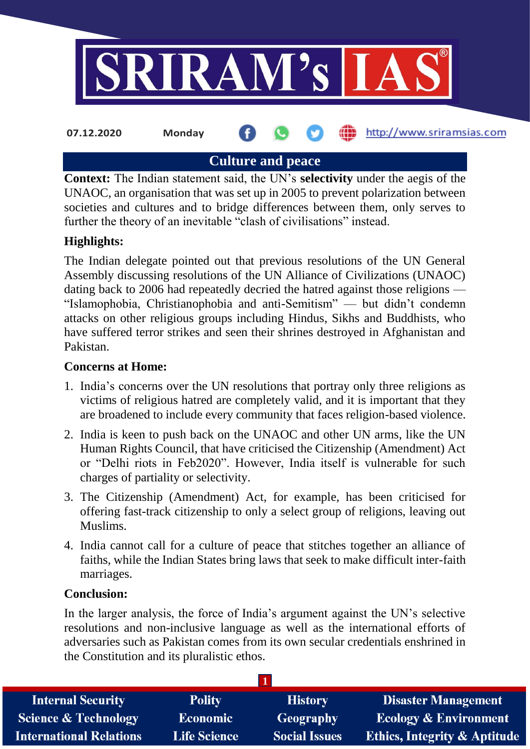

**Culture and peace**

**Context:** The Indian statement said, the UN's **selectivity** under the aegis of the UNAOC, an organisation that was set up in 2005 to prevent polarization between societies and cultures and to bridge differences between them, only serves to further the theory of an inevitable "clash of civilisations" instead.

# **Highlights:**

The Indian delegate pointed out that previous resolutions of the UN General Assembly discussing resolutions of the UN Alliance of Civilizations (UNAOC) dating back to 2006 had repeatedly decried the hatred against those religions — "Islamophobia, Christianophobia and anti-Semitism" — but didn't condemn attacks on other religious groups including Hindus, Sikhs and Buddhists, who have suffered terror strikes and seen their shrines destroyed in Afghanistan and Pakistan.

## **Concerns at Home:**

- 1. India's concerns over the UN resolutions that portray only three religions as victims of religious hatred are completely valid, and it is important that they are broadened to include every community that faces religion-based violence.
- 2. India is keen to push back on the UNAOC and other UN arms, like the UN Human Rights Council, that have criticised the Citizenship (Amendment) Act or "Delhi riots in Feb2020". However, India itself is vulnerable for such charges of partiality or selectivity.
- 3. The Citizenship (Amendment) Act, for example, has been criticised for offering fast-track citizenship to only a select group of religions, leaving out Muslims.
- 4. India cannot call for a culture of peace that stitches together an alliance of faiths, while the Indian States bring laws that seek to make difficult inter-faith marriages.

#### **Conclusion:**

In the larger analysis, the force of India's argument against the UN's selective resolutions and non-inclusive language as well as the international efforts of adversaries such as Pakistan comes from its own secular credentials enshrined in the Constitution and its pluralistic ethos.

| <b>Polity</b>       | <b>History</b>       | <b>Disaster Management</b>              |
|---------------------|----------------------|-----------------------------------------|
| <b>Economic</b>     | Geography            | <b>Ecology &amp; Environment</b>        |
| <b>Life Science</b> | <b>Social Issues</b> | <b>Ethics, Integrity &amp; Aptitude</b> |
|                     |                      |                                         |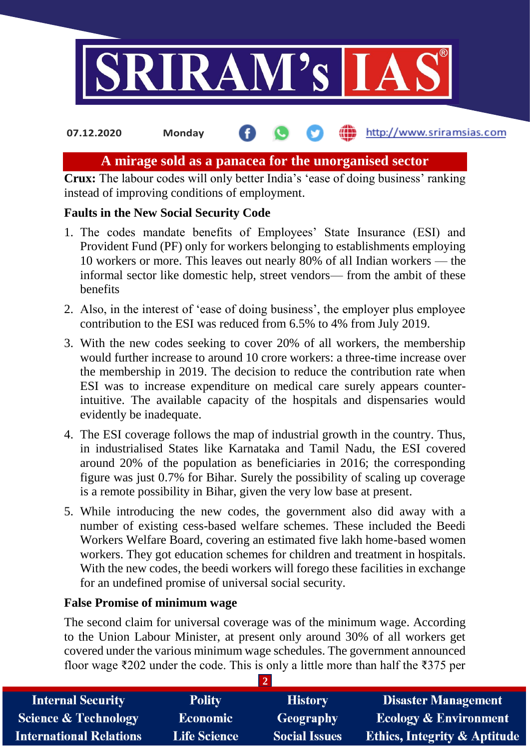

## **A mirage sold as a panacea for the unorganised sector**

**Crux:** The labour codes will only better India's 'ease of doing business' ranking instead of improving conditions of employment.

## **Faults in the New Social Security Code**

- 1. The codes mandate benefits of Employees' State Insurance (ESI) and Provident Fund (PF) only for workers belonging to establishments employing 10 workers or more. This leaves out nearly 80% of all Indian workers — the informal sector like domestic help, street vendors— from the ambit of these benefits
- 2. Also, in the interest of 'ease of doing business', the employer plus employee contribution to the ESI was reduced from 6.5% to 4% from July 2019.
- 3. With the new codes seeking to cover 20% of all workers, the membership would further increase to around 10 crore workers: a three-time increase over the membership in 2019. The decision to reduce the contribution rate when ESI was to increase expenditure on medical care surely appears counterintuitive. The available capacity of the hospitals and dispensaries would evidently be inadequate.
- 4. The ESI coverage follows the map of industrial growth in the country. Thus, in industrialised States like Karnataka and Tamil Nadu, the ESI covered around 20% of the population as beneficiaries in 2016; the corresponding figure was just 0.7% for Bihar. Surely the possibility of scaling up coverage is a remote possibility in Bihar, given the very low base at present.
- 5. While introducing the new codes, the government also did away with a number of existing cess-based welfare schemes. These included the Beedi Workers Welfare Board, covering an estimated five lakh home-based women workers. They got education schemes for children and treatment in hospitals. With the new codes, the beedi workers will forego these facilities in exchange for an undefined promise of universal social security.

## **False Promise of minimum wage**

The second claim for universal coverage was of the minimum wage. According to the Union Labour Minister, at present only around 30% of all workers get covered under the various minimum wage schedules. The government announced floor wage ₹202 under the code. This is only a little more than half the ₹375 per

| <b>Internal Security</b>        | <b>Polity</b>       | <b>History</b>       | <b>Disaster Management</b>              |
|---------------------------------|---------------------|----------------------|-----------------------------------------|
| <b>Science &amp; Technology</b> | <b>Economic</b>     | Geography            | <b>Ecology &amp; Environment</b>        |
| <b>International Relations</b>  | <b>Life Science</b> | <b>Social Issues</b> | <b>Ethics, Integrity &amp; Aptitude</b> |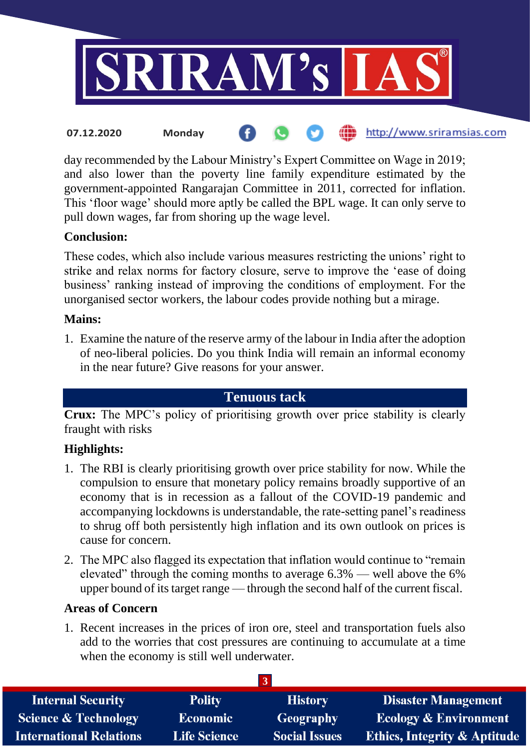

day recommended by the Labour Ministry's Expert Committee on Wage in 2019; and also lower than the poverty line family expenditure estimated by the government-appointed Rangarajan Committee in 2011, corrected for inflation. This 'floor wage' should more aptly be called the BPL wage. It can only serve to pull down wages, far from shoring up the wage level.

## **Conclusion:**

These codes, which also include various measures restricting the unions' right to strike and relax norms for factory closure, serve to improve the 'ease of doing business' ranking instead of improving the conditions of employment. For the unorganised sector workers, the labour codes provide nothing but a mirage.

#### **Mains:**

1. Examine the nature of the reserve army of the labour in India after the adoption of neo-liberal policies. Do you think India will remain an informal economy in the near future? Give reasons for your answer.

## **Tenuous tack**

**Crux:** The MPC's policy of prioritising growth over price stability is clearly fraught with risks

## **Highlights:**

- 1. The RBI is clearly prioritising growth over price stability for now. While the compulsion to ensure that monetary policy remains broadly supportive of an economy that is in recession as a fallout of the COVID-19 pandemic and accompanying lockdowns is understandable, the rate-setting panel's readiness to shrug off both persistently high inflation and its own outlook on prices is cause for concern.
- 2. The MPC also flagged its expectation that inflation would continue to "remain elevated" through the coming months to average 6.3% — well above the 6% upper bound of its target range — through the second half of the current fiscal.

## **Areas of Concern**

1. Recent increases in the prices of iron ore, steel and transportation fuels also add to the worries that cost pressures are continuing to accumulate at a time when the economy is still well underwater.

| <b>Internal Security</b>       | <b>Polity</b>       | <b>History</b>       | <b>Disaster Management</b>              |
|--------------------------------|---------------------|----------------------|-----------------------------------------|
| Science & Technology           | <b>Economic</b>     | Geography            | <b>Ecology &amp; Environment</b>        |
| <b>International Relations</b> | <b>Life Science</b> | <b>Social Issues</b> | <b>Ethics, Integrity &amp; Aptitude</b> |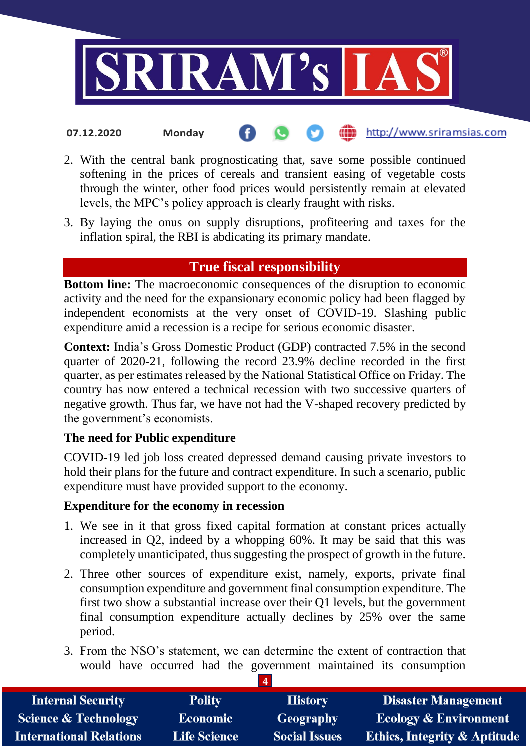

- 2. With the central bank prognosticating that, save some possible continued softening in the prices of cereals and transient easing of vegetable costs through the winter, other food prices would persistently remain at elevated levels, the MPC's policy approach is clearly fraught with risks.
- 3. By laying the onus on supply disruptions, profiteering and taxes for the inflation spiral, the RBI is abdicating its primary mandate.

# **True fiscal responsibility**

**Bottom line:** The macroeconomic consequences of the disruption to economic activity and the need for the expansionary economic policy had been flagged by independent economists at the very onset of COVID-19. Slashing public expenditure amid a recession is a recipe for serious economic disaster.

**Context:** India's Gross Domestic Product (GDP) contracted 7.5% in the second quarter of 2020-21, following the record 23.9% decline recorded in the first quarter, as per estimates released by the National Statistical Office on Friday. The country has now entered a technical recession with two successive quarters of negative growth. Thus far, we have not had the V-shaped recovery predicted by the government's economists.

## **The need for Public expenditure**

COVID-19 led job loss created depressed demand causing private investors to hold their plans for the future and contract expenditure. In such a scenario, public expenditure must have provided support to the economy.

## **Expenditure for the economy in recession**

- 1. We see in it that gross fixed capital formation at constant prices actually increased in Q2, indeed by a whopping 60%. It may be said that this was completely unanticipated, thus suggesting the prospect of growth in the future.
- 2. Three other sources of expenditure exist, namely, exports, private final consumption expenditure and government final consumption expenditure. The first two show a substantial increase over their Q1 levels, but the government final consumption expenditure actually declines by 25% over the same period.
- 3. From the NSO's statement, we can determine the extent of contraction that would have occurred had the government maintained its consumption

| <b>Internal Security</b>        | <b>Polity</b>       | <b>History</b>       | <b>Disaster Management</b>              |
|---------------------------------|---------------------|----------------------|-----------------------------------------|
| <b>Science &amp; Technology</b> | <b>Economic</b>     | <b>Geography</b>     | <b>Ecology &amp; Environment</b>        |
| <b>International Relations</b>  | <b>Life Science</b> | <b>Social Issues</b> | <b>Ethics, Integrity &amp; Aptitude</b> |